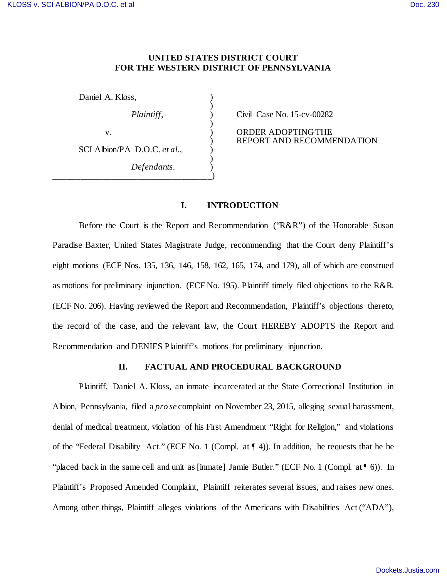# **UNITED STATES DISTRICT COURT FOR THE WESTERN DISTRICT OF PENNSYLVANIA**

| Daniel A. Kloss,             |  |
|------------------------------|--|
| Plaintiff,                   |  |
| V.                           |  |
| SCI Albion/PA D.O.C. et al., |  |
| Defendants.                  |  |
|                              |  |

*Plaintiff*, ) Civil Case No. 15-cv-00282

ORDER ADOPTING THE ) REPORT AND RECOMMENDATION

# **I. INTRODUCTION**

Before the Court is the Report and Recommendation (" $R\&R$ ") of the Honorable Susan Paradise Baxter, United States Magistrate Judge, recommending that the Court deny Plaintiff's eight motions (ECF Nos. 135, 136, 146, 158, 162, 165, 174, and 179), all of which are construed as motions for preliminary injunction. (ECF No. 195). Plaintiff timely filed objections to the R&R. (ECF No. 206). Having reviewed the Report and Recommendation, Plaintiff's objections thereto, the record of the case, and the relevant law, the Court HEREBY ADOPTS the Report and Recommendation and DENIES Plaintiff's motions for preliminary injunction.

## **II. FACTUAL AND PROCEDURAL BACKGROUND**

Plaintiff, Daniel A. Kloss, an inmate incarcerated at the State Correctional Institution in Albion, Pennsylvania, filed a *pro se* complaint on November 23, 2015, alleging sexual harassment, denial of medical treatment, violation of his First Amendment "Right for Religion," and violations of the "Federal Disability Act." (ECF No. 1 (Compl. at ¶ 4)). In addition, he requests that he be "placed back in the same cell and unit as [inmate] Jamie Butler." (ECF No. 1 (Compl. at ¶ 6)). In Plaintiff's Proposed Amended Complaint, Plaintiff reiterates several issues, and raises new ones. Among other things, Plaintiff alleges violations of the Americans with Disabilities Act ("ADA"),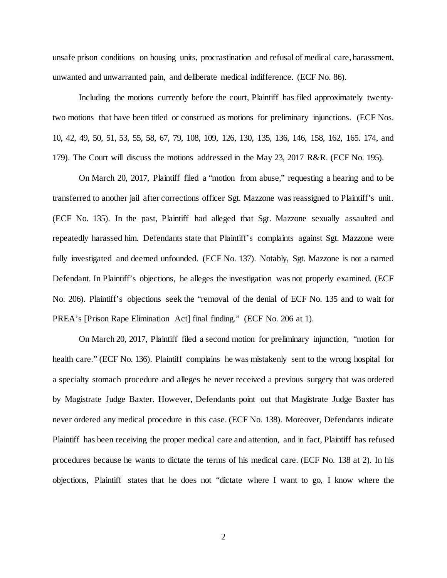unsafe prison conditions on housing units, procrastination and refusal of medical care, harassment, unwanted and unwarranted pain, and deliberate medical indifference. (ECF No. 86).

Including the motions currently before the court, Plaintiff has filed approximately twentytwo motions that have been titled or construed as motions for preliminary injunctions. (ECF Nos. 10, 42, 49, 50, 51, 53, 55, 58, 67, 79, 108, 109, 126, 130, 135, 136, 146, 158, 162, 165. 174, and 179). The Court will discuss the motions addressed in the May 23, 2017 R&R. (ECF No. 195).

On March 20, 2017, Plaintiff filed a "motion from abuse," requesting a hearing and to be transferred to another jail after corrections officer Sgt. Mazzone was reassigned to Plaintiff's unit. (ECF No. 135). In the past, Plaintiff had alleged that Sgt. Mazzone sexually assaulted and repeatedly harassed him. Defendants state that Plaintiff's complaints against Sgt. Mazzone were fully investigated and deemed unfounded. (ECF No. 137). Notably, Sgt. Mazzone is not a named Defendant. In Plaintiff's objections, he alleges the investigation was not properly examined. (ECF No. 206). Plaintiff's objections seek the "removal of the denial of ECF No. 135 and to wait for PREA's [Prison Rape Elimination Act] final finding." (ECF No. 206 at 1).

On March 20, 2017, Plaintiff filed a second motion for preliminary injunction, "motion for health care." (ECF No. 136). Plaintiff complains he was mistakenly sent to the wrong hospital for a specialty stomach procedure and alleges he never received a previous surgery that was ordered by Magistrate Judge Baxter. However, Defendants point out that Magistrate Judge Baxter has never ordered any medical procedure in this case. (ECF No. 138). Moreover, Defendants indicate Plaintiff has been receiving the proper medical care and attention, and in fact, Plaintiff has refused procedures because he wants to dictate the terms of his medical care. (ECF No. 138 at 2). In his objections, Plaintiff states that he does not "dictate where I want to go, I know where the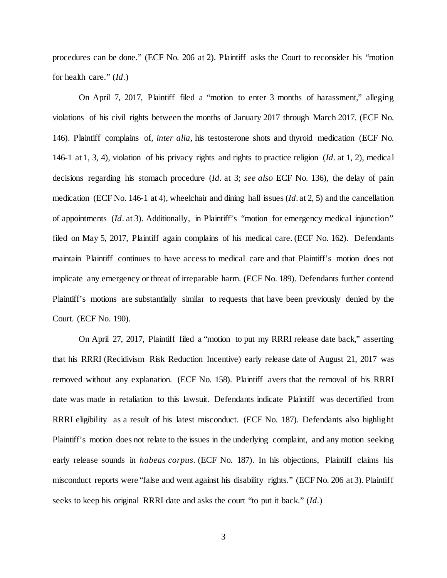procedures can be done." (ECF No. 206 at 2). Plaintiff asks the Court to reconsider his "motion for health care." (*Id*.)

On April 7, 2017, Plaintiff filed a "motion to enter 3 months of harassment," alleging violations of his civil rights between the months of January 2017 through March 2017. (ECF No. 146). Plaintiff complains of, *inter alia*, his testosterone shots and thyroid medication (ECF No. 146-1 at 1, 3, 4), violation of his privacy rights and rights to practice religion (*Id*. at 1, 2), medical decisions regarding his stomach procedure (*Id*. at 3; *see also* ECF No. 136), the delay of pain medication (ECF No. 146-1 at 4), wheelchair and dining hall issues (*Id*. at 2, 5) and the cancellation of appointments (*Id*. at 3). Additionally, in Plaintiff's "motion for emergency medical injunction" filed on May 5, 2017, Plaintiff again complains of his medical care. (ECF No. 162). Defendants maintain Plaintiff continues to have access to medical care and that Plaintiff's motion does not implicate any emergency or threat of irreparable harm. (ECF No. 189). Defendants further contend Plaintiff's motions are substantially similar to requests that have been previously denied by the Court. (ECF No. 190).

On April 27, 2017, Plaintiff filed a "motion to put my RRRI release date back," asserting that his RRRI (Recidivism Risk Reduction Incentive) early release date of August 21, 2017 was removed without any explanation. (ECF No. 158). Plaintiff avers that the removal of his RRRI date was made in retaliation to this lawsuit. Defendants indicate Plaintiff was decertified from RRRI eligibility as a result of his latest misconduct. (ECF No. 187). Defendants also highlight Plaintiff's motion does not relate to the issues in the underlying complaint, and any motion seeking early release sounds in *habeas corpus*. (ECF No. 187). In his objections, Plaintiff claims his misconduct reports were "false and went against his disability rights." (ECF No. 206 at 3). Plaintiff seeks to keep his original RRRI date and asks the court "to put it back." (*Id*.)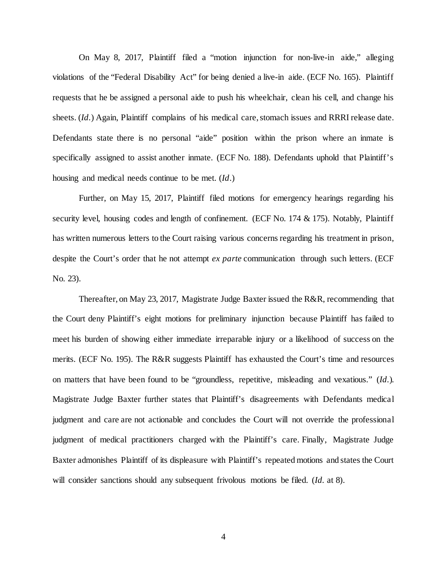On May 8, 2017, Plaintiff filed a "motion injunction for non-live-in aide," alleging violations of the "Federal Disability Act" for being denied a live-in aide. (ECF No. 165). Plaintiff requests that he be assigned a personal aide to push his wheelchair, clean his cell, and change his sheets. (*Id.*) Again, Plaintiff complains of his medical care, stomach issues and RRRI release date. Defendants state there is no personal "aide" position within the prison where an inmate is specifically assigned to assist another inmate. (ECF No. 188). Defendants uphold that Plaintiff's housing and medical needs continue to be met. (*Id*.)

Further, on May 15, 2017, Plaintiff filed motions for emergency hearings regarding his security level, housing codes and length of confinement. (ECF No. 174 & 175). Notably, Plaintiff has written numerous letters to the Court raising various concerns regarding his treatment in prison, despite the Court's order that he not attempt *ex parte* communication through such letters. (ECF No. 23).

Thereafter, on May 23, 2017, Magistrate Judge Baxter issued the R&R, recommending that the Court deny Plaintiff's eight motions for preliminary injunction because Plaintiff has failed to meet his burden of showing either immediate irreparable injury or a likelihood of success on the merits. (ECF No. 195). The R&R suggests Plaintiff has exhausted the Court's time and resources on matters that have been found to be "groundless, repetitive, misleading and vexatious." (*Id.*). Magistrate Judge Baxter further states that Plaintiff's disagreements with Defendants medical judgment and care are not actionable and concludes the Court will not override the professional judgment of medical practitioners charged with the Plaintiff's care. Finally, Magistrate Judge Baxter admonishes Plaintiff of its displeasure with Plaintiff's repeated motions and states the Court will consider sanctions should any subsequent frivolous motions be filed. (*Id.* at 8).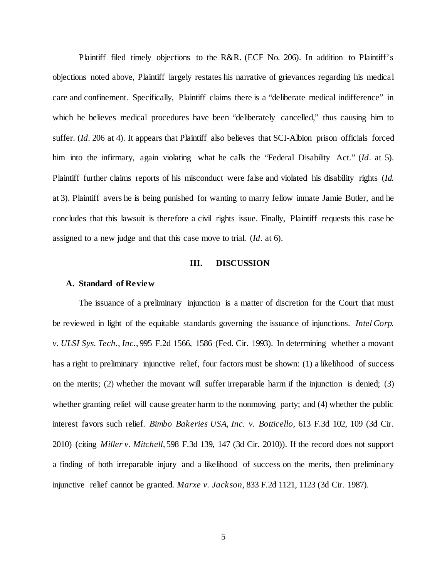Plaintiff filed timely objections to the R&R. (ECF No. 206). In addition to Plaintiff's objections noted above, Plaintiff largely restates his narrative of grievances regarding his medical care and confinement. Specifically, Plaintiff claims there is a "deliberate medical indifference" in which he believes medical procedures have been "deliberately cancelled," thus causing him to suffer. (*Id.* 206 at 4). It appears that Plaintiff also believes that SCI-Albion prison officials forced him into the infirmary, again violating what he calls the "Federal Disability Act." (*Id*. at 5). Plaintiff further claims reports of his misconduct were false and violated his disability rights (*Id.* at 3). Plaintiff avers he is being punished for wanting to marry fellow inmate Jamie Butler, and he concludes that this lawsuit is therefore a civil rights issue. Finally, Plaintiff requests this case be assigned to a new judge and that this case move to trial. (*Id.* at 6).

## **III. DISCUSSION**

#### **A. Standard of Review**

The issuance of a preliminary injunction is a matter of discretion for the Court that must be reviewed in light of the equitable standards governing the issuance of injunctions. *Intel Corp. v. ULSI Sys. Tech., Inc.*, 995 F.2d 1566, 1586 (Fed. Cir. 1993). In determining whether a movant has a right to preliminary injunctive relief, four factors must be shown: (1) a likelihood of success on the merits; (2) whether the movant will suffer irreparable harm if the injunction is denied; (3) whether granting relief will cause greater harm to the nonmoving party; and (4) whether the public interest favors such relief. *Bimbo Bakeries USA, Inc. v. Botticello*, 613 F.3d 102, 109 (3d Cir. 2010) (citing *Miller v. Mitchell*, 598 F.3d 139, 147 (3d Cir. 2010)). If the record does not support a finding of both irreparable injury and a likelihood of success on the merits, then preliminary injunctive relief cannot be granted. *Marxe v. Jackson*, 833 F.2d 1121, 1123 (3d Cir. 1987).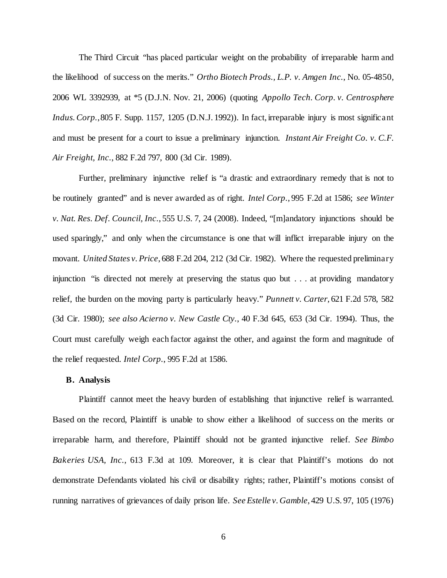The Third Circuit "has placed particular weight on the probability of irreparable harm and the likelihood of success on the merits." *Ortho Biotech Prods., L.P. v. Amgen Inc.*, No. 05-4850, 2006 WL 3392939, at \*5 (D.J.N. Nov. 21, 2006) (quoting *Appollo Tech. Corp. v. Centrosphere Indus. Corp.*, 805 F. Supp. 1157, 1205 (D.N.J. 1992)). In fact, irreparable injury is most significant and must be present for a court to issue a preliminary injunction. *Instant Air Freight Co. v. C.F. Air Freight, Inc.*, 882 F.2d 797, 800 (3d Cir. 1989).

Further, preliminary injunctive relief is "a drastic and extraordinary remedy that is not to be routinely granted" and is never awarded as of right. *Intel Corp.*, 995 F.2d at 1586; *see Winter v. Nat. Res. Def. Council, Inc.*, 555 U.S. 7, 24 (2008). Indeed, "[m]andatory injunctions should be used sparingly," and only when the circumstance is one that will inflict irreparable injury on the movant. *United States v. Price*, 688 F.2d 204, 212 (3d Cir. 1982). Where the requested preliminary injunction "is directed not merely at preserving the status quo but . . . at providing mandatory relief, the burden on the moving party is particularly heavy." *Punnett v. Carter*, 621 F.2d 578, 582 (3d Cir. 1980); *see also Acierno v. New Castle Cty.*, 40 F.3d 645, 653 (3d Cir. 1994). Thus, the Court must carefully weigh each factor against the other, and against the form and magnitude of the relief requested. *Intel Corp.*, 995 F.2d at 1586.

## **B. Analysis**

Plaintiff cannot meet the heavy burden of establishing that injunctive relief is warranted. Based on the record, Plaintiff is unable to show either a likelihood of success on the merits or irreparable harm, and therefore, Plaintiff should not be granted injunctive relief. *See Bimbo Bakeries USA, Inc.*, 613 F.3d at 109. Moreover, it is clear that Plaintiff's motions do not demonstrate Defendants violated his civil or disability rights; rather, Plaintiff's motions consist of running narratives of grievances of daily prison life. *See Estelle v. Gamble*, 429 U.S. 97, 105 (1976)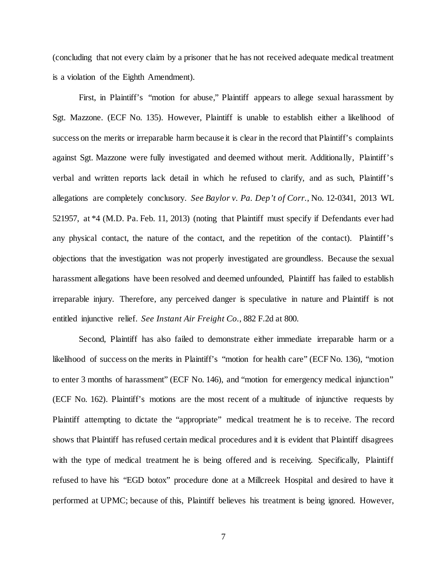(concluding that not every claim by a prisoner that he has not received adequate medical treatment is a violation of the Eighth Amendment).

First, in Plaintiff's "motion for abuse," Plaintiff appears to allege sexual harassment by Sgt. Mazzone. (ECF No. 135). However, Plaintiff is unable to establish either a likelihood of success on the merits or irreparable harm because it is clear in the record that Plaintiff's complaints against Sgt. Mazzone were fully investigated and deemed without merit. Additionally, Plaintiff's verbal and written reports lack detail in which he refused to clarify, and as such, Plaintiff's allegations are completely conclusory. *See Baylor v. Pa. Dep't of Corr.*, No. 12-0341, 2013 WL 521957, at \*4 (M.D. Pa. Feb. 11, 2013) (noting that Plaintiff must specify if Defendants ever had any physical contact, the nature of the contact, and the repetition of the contact). Plaintiff's objections that the investigation was not properly investigated are groundless. Because the sexual harassment allegations have been resolved and deemed unfounded, Plaintiff has failed to establish irreparable injury. Therefore, any perceived danger is speculative in nature and Plaintiff is not entitled injunctive relief. *See Instant Air Freight Co.*, 882 F.2d at 800.

Second, Plaintiff has also failed to demonstrate either immediate irreparable harm or a likelihood of success on the merits in Plaintiff's "motion for health care" (ECF No. 136), "motion to enter 3 months of harassment" (ECF No. 146), and "motion for emergency medical injunction" (ECF No. 162). Plaintiff's motions are the most recent of a multitude of injunctive requests by Plaintiff attempting to dictate the "appropriate" medical treatment he is to receive. The record shows that Plaintiff has refused certain medical procedures and it is evident that Plaintiff disagrees with the type of medical treatment he is being offered and is receiving. Specifically, Plaintiff refused to have his "EGD botox" procedure done at a Millcreek Hospital and desired to have it performed at UPMC; because of this, Plaintiff believes his treatment is being ignored. However,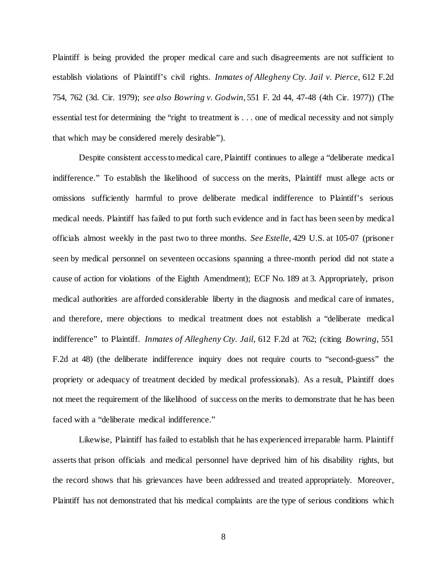Plaintiff is being provided the proper medical care and such disagreements are not sufficient to establish violations of Plaintiff's civil rights. *Inmates of Allegheny Cty. Jail v. Pierce*, 612 F.2d 754, 762 (3d. Cir. 1979); *see also Bowring v. Godwin*, 551 F. 2d 44, 47-48 (4th Cir. 1977)) (The essential test for determining the "right to treatment is . . . one of medical necessity and not simply that which may be considered merely desirable").

Despite consistent access to medical care, Plaintiff continues to allege a "deliberate medical indifference." To establish the likelihood of success on the merits, Plaintiff must allege acts or omissions sufficiently harmful to prove deliberate medical indifference to Plaintiff's serious medical needs. Plaintiff has failed to put forth such evidence and in fact has been seen by medical officials almost weekly in the past two to three months. *See Estelle*, 429 U.S. at 105-07 (prisoner seen by medical personnel on seventeen occasions spanning a three-month period did not state a cause of action for violations of the Eighth Amendment); ECF No. 189 at 3. Appropriately, prison medical authorities are afforded considerable liberty in the diagnosis and medical care of inmates, and therefore, mere objections to medical treatment does not establish a "deliberate medical indifference" to Plaintiff. *Inmates of Allegheny Cty. Jail*, 612 F.2d at 762; *(*citing *Bowring*, 551 F.2d at 48) (the deliberate indifference inquiry does not require courts to "second-guess" the propriety or adequacy of treatment decided by medical professionals). As a result, Plaintiff does not meet the requirement of the likelihood of success on the merits to demonstrate that he has been faced with a "deliberate medical indifference."

Likewise, Plaintiff has failed to establish that he has experienced irreparable harm. Plaintiff asserts that prison officials and medical personnel have deprived him of his disability rights, but the record shows that his grievances have been addressed and treated appropriately. Moreover, Plaintiff has not demonstrated that his medical complaints are the type of serious conditions which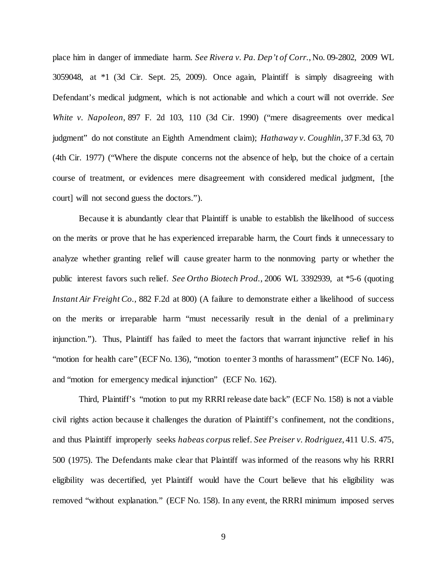place him in danger of immediate harm. *See Rivera v. Pa. Dep't of Corr.*, No. 09-2802, 2009 WL 3059048, at \*1 (3d Cir. Sept. 25, 2009). Once again, Plaintiff is simply disagreeing with Defendant's medical judgment, which is not actionable and which a court will not override. *See White v. Napoleon*, 897 F. 2d 103, 110 (3d Cir. 1990) ("mere disagreements over medical judgment" do not constitute an Eighth Amendment claim); *Hathaway v. Coughlin*, 37 F.3d 63, 70 (4th Cir. 1977) ("Where the dispute concerns not the absence of help, but the choice of a certain course of treatment, or evidences mere disagreement with considered medical judgment, [the court] will not second guess the doctors.").

Because it is abundantly clear that Plaintiff is unable to establish the likelihood of success on the merits or prove that he has experienced irreparable harm, the Court finds it unnecessary to analyze whether granting relief will cause greater harm to the nonmoving party or whether the public interest favors such relief. *See Ortho Biotech Prod.*, 2006 WL 3392939, at \*5-6 (quoting *Instant Air Freight Co.*, 882 F.2d at 800) (A failure to demonstrate either a likelihood of success on the merits or irreparable harm "must necessarily result in the denial of a preliminary injunction."). Thus, Plaintiff has failed to meet the factors that warrant injunctive relief in his "motion for health care" (ECF No. 136), "motion to enter 3 months of harassment" (ECF No. 146), and "motion for emergency medical injunction" (ECF No. 162).

Third, Plaintiff's "motion to put my RRRI release date back" (ECF No. 158) is not a viable civil rights action because it challenges the duration of Plaintiff's confinement, not the conditions, and thus Plaintiff improperly seeks *habeas corpus* relief. *See Preiser v. Rodriguez*, 411 U.S. 475, 500 (1975). The Defendants make clear that Plaintiff was informed of the reasons why his RRRI eligibility was decertified, yet Plaintiff would have the Court believe that his eligibility was removed "without explanation." (ECF No. 158). In any event, the RRRI minimum imposed serves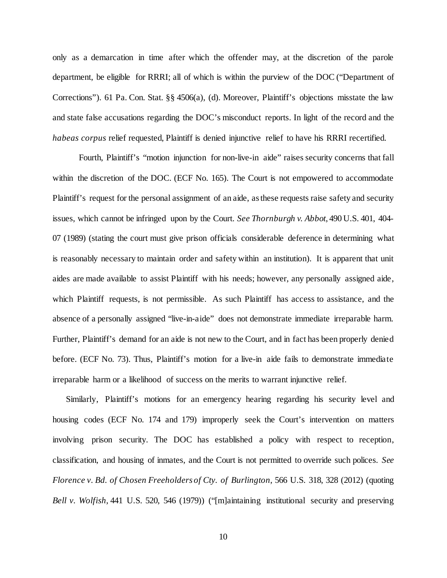only as a demarcation in time after which the offender may, at the discretion of the parole department, be eligible for RRRI; all of which is within the purview of the DOC ("Department of Corrections"). 61 Pa. Con. Stat. §§ 4506(a), (d). Moreover, Plaintiff's objections misstate the law and state false accusations regarding the DOC's misconduct reports. In light of the record and the *habeas corpus* relief requested, Plaintiff is denied injunctive relief to have his RRRI recertified.

Fourth, Plaintiff's "motion injunction for non-live-in aide" raises security concerns that fall within the discretion of the DOC. (ECF No. 165). The Court is not empowered to accommodate Plaintiff's request for the personal assignment of an aide, as these requests raise safety and security issues, which cannot be infringed upon by the Court. *See Thornburgh v. Abbot*, 490 U.S. 401, 404- 07 (1989) (stating the court must give prison officials considerable deference in determining what is reasonably necessary to maintain order and safety within an institution). It is apparent that unit aides are made available to assist Plaintiff with his needs; however, any personally assigned aide, which Plaintiff requests, is not permissible. As such Plaintiff has access to assistance, and the absence of a personally assigned "live-in-aide" does not demonstrate immediate irreparable harm. Further, Plaintiff's demand for an aide is not new to the Court, and in fact has been properly denied before. (ECF No. 73). Thus, Plaintiff's motion for a live-in aide fails to demonstrate immediate irreparable harm or a likelihood of success on the merits to warrant injunctive relief.

Similarly, Plaintiff's motions for an emergency hearing regarding his security level and housing codes (ECF No. 174 and 179) improperly seek the Court's intervention on matters involving prison security. The DOC has established a policy with respect to reception, classification, and housing of inmates, and the Court is not permitted to override such polices. *See Florence v. Bd. of Chosen Freeholders of Cty. of Burlington*, 566 U.S. 318, 328 (2012) (quoting *Bell v. Wolfish*, 441 U.S. 520, 546 (1979)) ("[m]aintaining institutional security and preserving